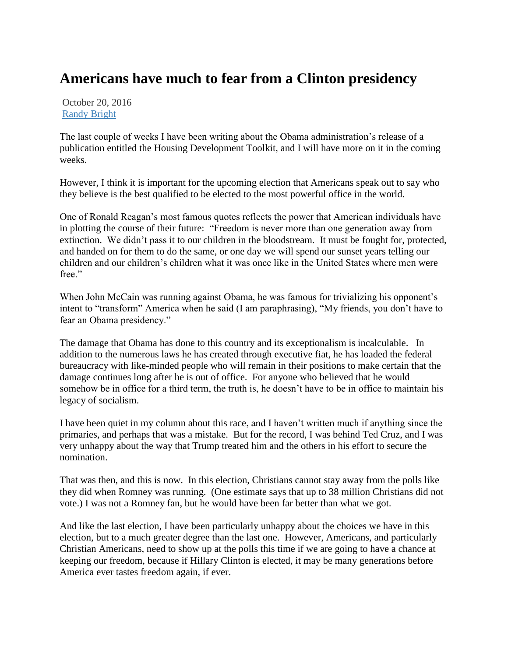## **Americans have much to fear from a Clinton presidency**

October 20, 2016 [Randy Bright](http://tulsabeacon.com/author/randy-bright/)

The last couple of weeks I have been writing about the Obama administration's release of a publication entitled the Housing Development Toolkit, and I will have more on it in the coming weeks.

However, I think it is important for the upcoming election that Americans speak out to say who they believe is the best qualified to be elected to the most powerful office in the world.

One of Ronald Reagan's most famous quotes reflects the power that American individuals have in plotting the course of their future: "Freedom is never more than one generation away from extinction. We didn't pass it to our children in the bloodstream. It must be fought for, protected, and handed on for them to do the same, or one day we will spend our sunset years telling our children and our children's children what it was once like in the United States where men were free."

When John McCain was running against Obama, he was famous for trivializing his opponent's intent to "transform" America when he said (I am paraphrasing), "My friends, you don't have to fear an Obama presidency."

The damage that Obama has done to this country and its exceptionalism is incalculable. In addition to the numerous laws he has created through executive fiat, he has loaded the federal bureaucracy with like-minded people who will remain in their positions to make certain that the damage continues long after he is out of office. For anyone who believed that he would somehow be in office for a third term, the truth is, he doesn't have to be in office to maintain his legacy of socialism.

I have been quiet in my column about this race, and I haven't written much if anything since the primaries, and perhaps that was a mistake. But for the record, I was behind Ted Cruz, and I was very unhappy about the way that Trump treated him and the others in his effort to secure the nomination.

That was then, and this is now. In this election, Christians cannot stay away from the polls like they did when Romney was running. (One estimate says that up to 38 million Christians did not vote.) I was not a Romney fan, but he would have been far better than what we got.

And like the last election, I have been particularly unhappy about the choices we have in this election, but to a much greater degree than the last one. However, Americans, and particularly Christian Americans, need to show up at the polls this time if we are going to have a chance at keeping our freedom, because if Hillary Clinton is elected, it may be many generations before America ever tastes freedom again, if ever.